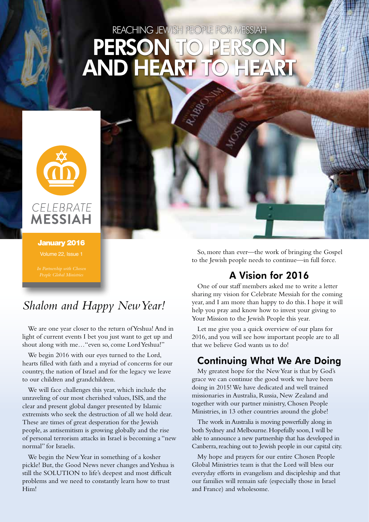# REACHING JEWISH PEOPLE FOR MESSIAH PERSON TO PERSON **AND HEART**



January 2016 Volume 22, Issue 1

# *Shalom and Happy New Year!*

We are one year closer to the return of Yeshua! And in light of current events I bet you just want to get up and shout along with me…"even so, come Lord Yeshua!"

We begin 2016 with our eyes turned to the Lord, hearts filled with faith and a myriad of concerns for our country, the nation of Israel and for the legacy we leave to our children and grandchildren.

We will face challenges this year, which include the unraveling of our most cherished values, ISIS, and the clear and present global danger presented by Islamic extremists who seek the destruction of all we hold dear. These are times of great desperation for the Jewish people, as antisemitism is growing globally and the rise of personal terrorism attacks in Israel is becoming a "new normal" for Israelis.

We begin the New Year in something of a kosher pickle! But, the Good News never changes and Yeshua is still the SOLUTION to life's deepest and most difficult problems and we need to constantly learn how to trust Him!

So, more than ever—the work of bringing the Gospel to the Jewish people needs to continue—in full force.

# A Vision for 2016

One of our staff members asked me to write a letter sharing my vision for Celebrate Messiah for the coming year, and I am more than happy to do this. I hope it will help you pray and know how to invest your giving to Your Mission to the Jewish People this year.

Let me give you a quick overview of our plans for 2016, and you will see how important people are to all that we believe God wants us to do!

# Continuing What We Are Doing

My greatest hope for the New Year is that by God's grace we can continue the good work we have been doing in 2015! We have dedicated and well trained missionaries in Australia, Russia, New Zealand and together with our partner ministry, Chosen People Ministries, in 13 other countries around the globe!

The work in Australia is moving powerfully along in both Sydney and Melbourne. Hopefully soon, I will be able to announce a new partnership that has developed in Canberra, reaching out to Jewish people in our capital city.

My hope and prayers for our entire Chosen People Global Ministries team is that the Lord will bless our everyday efforts in evangelism and discipleship and that our families will remain safe (especially those in Israel and France) and wholesome.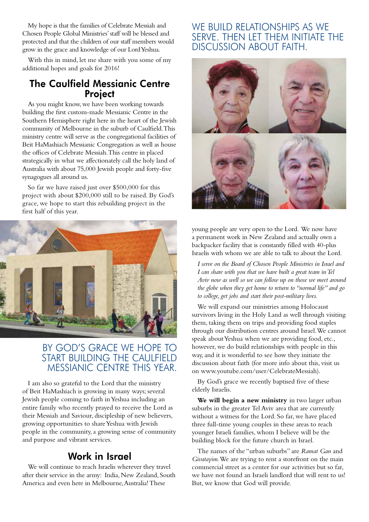My hope is that the families of Celebrate Messiah and Chosen People Global Ministries' staff will be blessed and protected and that the children of our staff members would grow in the grace and knowledge of our Lord Yeshua.

With this in mind, let me share with you some of my additional hopes and goals for 2016!

#### The Caulfield Messianic Centre **Project**

As you might know, we have been working towards building the first custom-made Messianic Centre in the Southern Hemisphere right here in the heart of the Jewish community of Melbourne in the suburb of Caulfield. This ministry centre will serve as the congregational facilities of Beit HaMashiach Messianic Congregation as well as house the offices of Celebrate Messiah. This centre in placed strategically in what we affectionately call the holy land of Australia with about 75,000 Jewish people and forty-five synagogues all around us.

So far we have raised just over \$500,000 for this project with about \$200,000 still to be raised. By God's grace, we hope to start this rebuilding project in the first half of this year.



### BY GOD'S GRACE WE HOPE TO START BUILDING THE CAULFIELD MESSIANIC CENTRE THIS YEAR.

I am also so grateful to the Lord that the ministry of Beit HaMashiach is growing in many ways; several Jewish people coming to faith in Yeshua including an entire family who recently prayed to receive the Lord as their Messiah and Saviour, discipleship of new believers, growing opportunities to share Yeshua with Jewish people in the community, a growing sense of community and purpose and vibrant services.

### Work in Israel

We will continue to reach Israelis wherever they travel after their service in the army: India, New Zealand, South America and even here in Melbourne, Australia! These

### WE BUILD RELATIONSHIPS AS WE SERVE. THEN LET THEM INITIATE THE DISCUSSION ABOUT FAITH.



young people are very open to the Lord. We now have a permanent work in New Zealand and actually own a backpacker facility that is constantly filled with 40-plus Israelis with whom we are able to talk to about the Lord.

*I serve on the Board of Chosen People Ministries in Israel and I can share with you that we have built a great team in Tel Aviv now as well so we can follow up on those we meet around the globe when they get home to return to "normal life" and go to college, get jobs and start their post-military lives.*

We will expand our ministries among Holocaust survivors living in the Holy Land as well through visiting them, taking them on trips and providing food staples through our distribution centres around Israel. We cannot speak about Yeshua when we are providing food, etc., however, we do build relationships with people in this way, and it is wonderful to see how they initiate the discussion about faith (for more info about this, visit us on www.youtube.com/user/CelebrateMessiah).

By God's grace we recently baptised five of these elderly Israelis.

**We will begin a new ministry** in two larger urban suburbs in the greater Tel Aviv area that are currently without a witness for the Lord. So far, we have placed three full-time young couples in these areas to reach younger Israeli families, whom I believe will be the building block for the future church in Israel.

The names of the "urban suburbs" are *Ramat Gan* and *Givatayim*. We are trying to rent a storefront on the main commercial street as a center for our activities but so far, we have not found an Israeli landlord that will rent to us! But, we know that God will provide.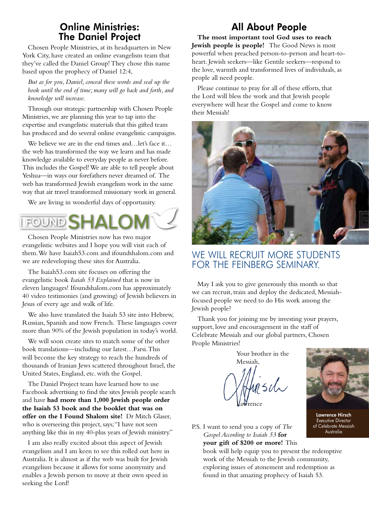### Online Ministries: The Daniel Project

Chosen People Ministries, at its headquarters in New York City, have created an online evangelism team that they've called the Daniel Group! They chose this name based upon the prophecy of Daniel 12:4,

*But as for you, Daniel, conceal these words and seal up the book until the end of time; many will go back and forth, and knowledge will increase.*

Through our strategic partnership with Chosen People Ministries, we are planning this year to tap into the expertise and evangelistic materials that this gifted team has produced and do several online evangelistic campaigns.

We believe we are in the end times and…let's face it… the web has transformed the way we learn and has made knowledge available to everyday people as never before. This includes the Gospel! We are able to tell people about Yeshua—in ways our forefathers never dreamed of. The web has transformed Jewish evangelism work in the same way that air travel transformed missionary work in general.

We are living in wonderful days of opportunity.

# FOUND<sup>S</sup>

Chosen People Ministries now has two major evangelistic websites and I hope you will visit each of them. We have Isaiah53.com and ifoundshalom.com and we are redeveloping these sites for Australia.

The Isaiah53.com site focuses on offering the evangelistic book *Isaiah 53 Explained* that is now in eleven languages! Ifoundshalom.com has approximately 40 video testimonies (and growing) of Jewish believers in Jesus of every age and walk of life.

We also have translated the Isaiah 53 site into Hebrew, Russian, Spanish and now French. These languages cover more than 90% of the Jewish population in today's world.

We will soon create sites to match some of the other book translations—including our latest…Farsi. This will become the key strategy to reach the hundreds of thousands of Iranian Jews scattered throughout Israel, the United States, England, etc. with the Gospel.

The Daniel Project team have learned how to use Facebook advertising to find the sites Jewish people search and have **had more than 1,000 Jewish people order the Isaiah 53 book and the booklet that was on offer on the I Found Shalom site!** Dr Mitch Glaser, who is overseeing this project, says; "I have not seen anything like this in my 40-plus years of Jewish ministry."

I am also really excited about this aspect of Jewish evangelism and I am keen to see this rolled out here in Australia. It is almost as if the web was built for Jewish evangelism because it allows for some anonymity and enables a Jewish person to move at their own speed in seeking the Lord!

# All About People

**The most important tool God uses to reach Jewish people is people!** The Good News is most powerful when preached person-to-person and heart-toheart. Jewish seekers—like Gentile seekers—respond to the love, warmth and transformed lives of individuals, as people all need people.

Please continue to pray for all of these efforts, that the Lord will bless the work and that Jewish people everywhere will hear the Gospel and come to know their Messiah!



# WE WILL RECRUIT MORE STUDENTS FOR THE FEINBERG SEMINARY.

May I ask you to give generously this month so that we can recruit, train and deploy the dedicated, Messiahfocused people we need to do His work among the Jewish people?

Thank you for joining me by investing your prayers, support, love and encouragement in the staff of Celebrate Messiah and our global partners, Chosen People Ministries!



P.S. I want to send you a copy of *The Gospel According to Isaiah 53* **for your gift of \$200 or more!** This

book will help equip you to present the redemptive work of the Messiah to the Jewish community, exploring issues of atonement and redemption as found in that amazing prophecy of Isaiah 53.



Lawrence Hirsch Executive Director of Celebrate Messiah Australia